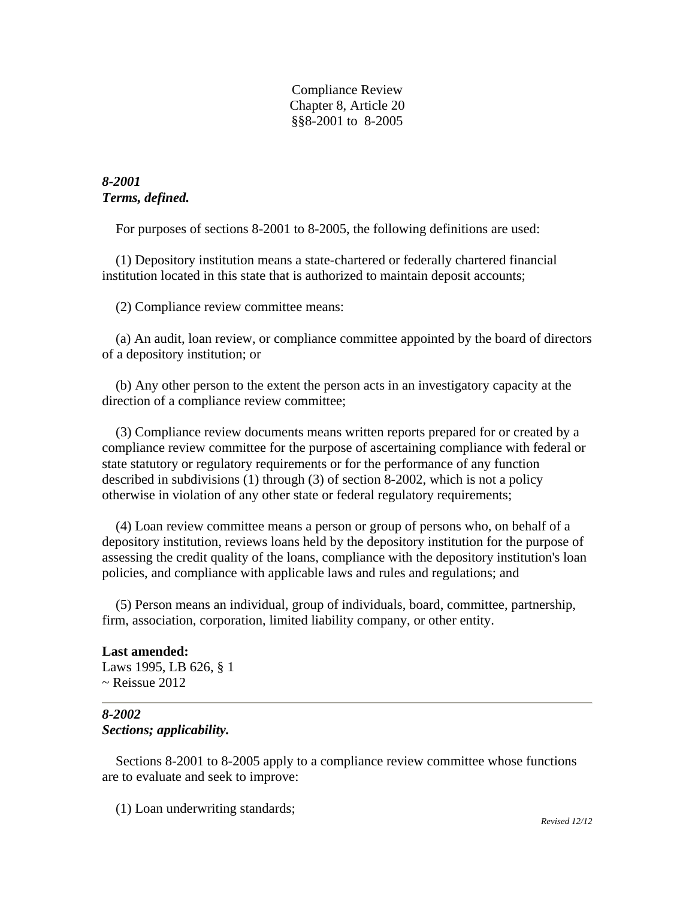Compliance Review Chapter 8, Article 20 §§8-2001 to 8-2005

*8-2001 Terms, defined.*

For purposes of sections 8-2001 to 8-2005, the following definitions are used:

 (1) Depository institution means a state-chartered or federally chartered financial institution located in this state that is authorized to maintain deposit accounts;

(2) Compliance review committee means:

 (a) An audit, loan review, or compliance committee appointed by the board of directors of a depository institution; or

 (b) Any other person to the extent the person acts in an investigatory capacity at the direction of a compliance review committee;

 (3) Compliance review documents means written reports prepared for or created by a compliance review committee for the purpose of ascertaining compliance with federal or state statutory or regulatory requirements or for the performance of any function described in subdivisions (1) through (3) of section 8-2002, which is not a policy otherwise in violation of any other state or federal regulatory requirements;

 (4) Loan review committee means a person or group of persons who, on behalf of a depository institution, reviews loans held by the depository institution for the purpose of assessing the credit quality of the loans, compliance with the depository institution's loan policies, and compliance with applicable laws and rules and regulations; and

 (5) Person means an individual, group of individuals, board, committee, partnership, firm, association, corporation, limited liability company, or other entity.

**Last amended:** Laws 1995, LB 626, § 1  $\sim$  Reissue 2012

## *8-2002 Sections; applicability.*

 Sections 8-2001 to 8-2005 apply to a compliance review committee whose functions are to evaluate and seek to improve:

(1) Loan underwriting standards;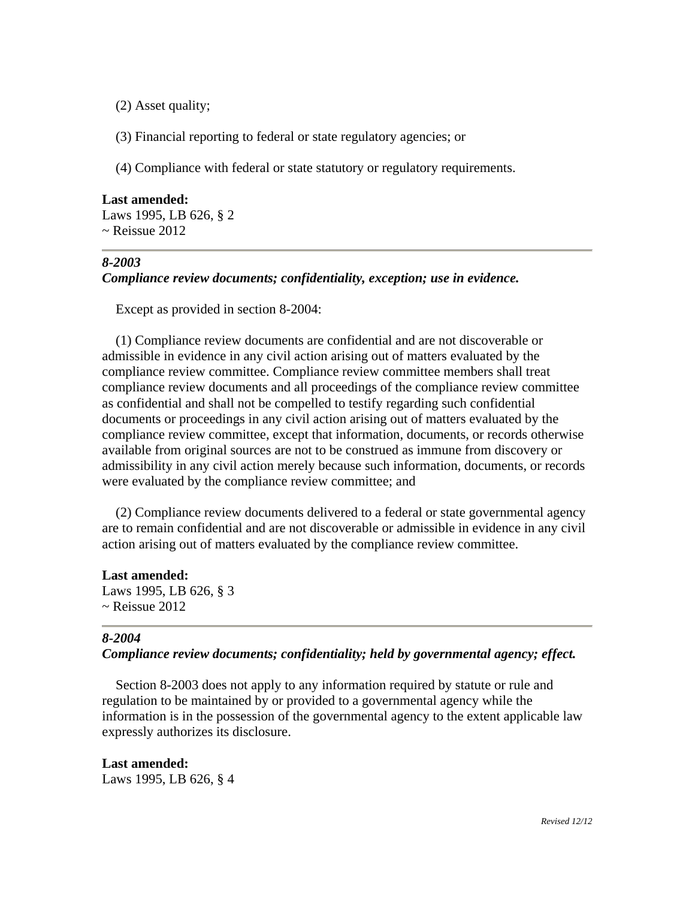(2) Asset quality;

(3) Financial reporting to federal or state regulatory agencies; or

(4) Compliance with federal or state statutory or regulatory requirements.

**Last amended:** Laws 1995, LB 626, § 2  $\sim$  Reissue 2012

#### *8-2003*

### *Compliance review documents; confidentiality, exception; use in evidence.*

Except as provided in section 8-2004:

 (1) Compliance review documents are confidential and are not discoverable or admissible in evidence in any civil action arising out of matters evaluated by the compliance review committee. Compliance review committee members shall treat compliance review documents and all proceedings of the compliance review committee as confidential and shall not be compelled to testify regarding such confidential documents or proceedings in any civil action arising out of matters evaluated by the compliance review committee, except that information, documents, or records otherwise available from original sources are not to be construed as immune from discovery or admissibility in any civil action merely because such information, documents, or records were evaluated by the compliance review committee; and

 (2) Compliance review documents delivered to a federal or state governmental agency are to remain confidential and are not discoverable or admissible in evidence in any civil action arising out of matters evaluated by the compliance review committee.

**Last amended:** Laws 1995, LB 626, § 3 ~ Reissue 2012

# *8-2004*

*Compliance review documents; confidentiality; held by governmental agency; effect.*

 Section 8-2003 does not apply to any information required by statute or rule and regulation to be maintained by or provided to a governmental agency while the information is in the possession of the governmental agency to the extent applicable law expressly authorizes its disclosure.

**Last amended:** Laws 1995, LB 626, § 4